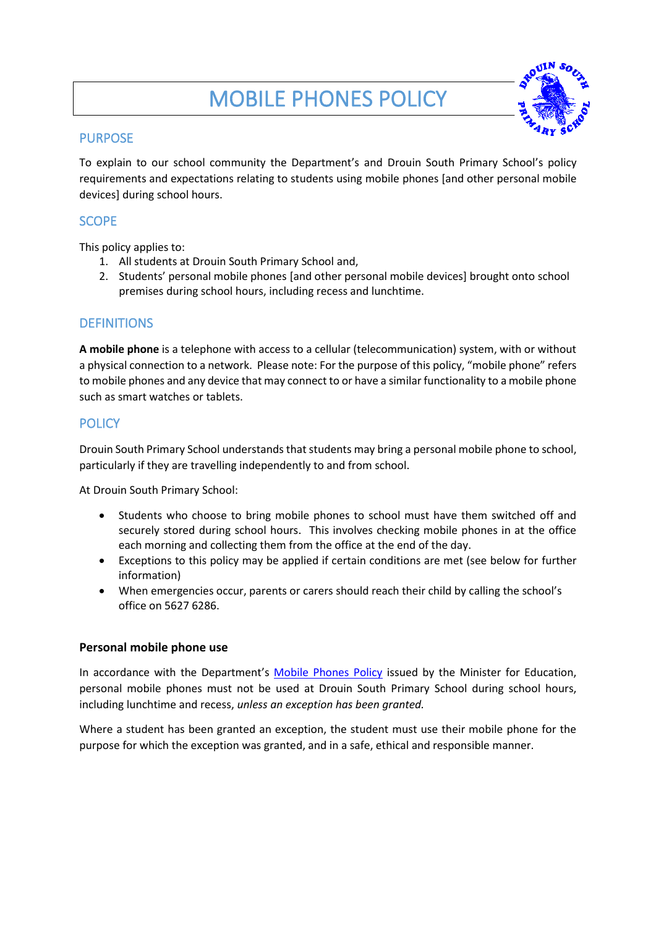# MOBILE PHONES POLICY



# PURPOSE

To explain to our school community the Department's and Drouin South Primary School's policy requirements and expectations relating to students using mobile phones [and other personal mobile devices] during school hours.

# **SCOPE**

This policy applies to:

- 1. All students at Drouin South Primary School and,
- 2. Students' personal mobile phones [and other personal mobile devices] brought onto school premises during school hours, including recess and lunchtime.

# **DEFINITIONS**

**A mobile phone** is a telephone with access to a cellular (telecommunication) system, with or without a physical connection to a network. Please note: For the purpose of this policy, "mobile phone" refers to mobile phones and any device that may connect to or have a similar functionality to a mobile phone such as smart watches or tablets.

# **POLICY**

Drouin South Primary School understands that students may bring a personal mobile phone to school, particularly if they are travelling independently to and from school.

At Drouin South Primary School:

- Students who choose to bring mobile phones to school must have them switched off and securely stored during school hours. This involves checking mobile phones in at the office each morning and collecting them from the office at the end of the day.
- Exceptions to this policy may be applied if certain conditions are met (see below for further information)
- When emergencies occur, parents or carers should reach their child by calling the school's office on 5627 6286.

## **Personal mobile phone use**

In accordance with the Department's [Mobile Phones Policy](https://www.education.vic.gov.au/school/principals/spag/safety/Pages/mobilephones.aspx) issued by the Minister for Education, personal mobile phones must not be used at Drouin South Primary School during school hours, including lunchtime and recess, *unless an exception has been granted.*

Where a student has been granted an exception, the student must use their mobile phone for the purpose for which the exception was granted, and in a safe, ethical and responsible manner.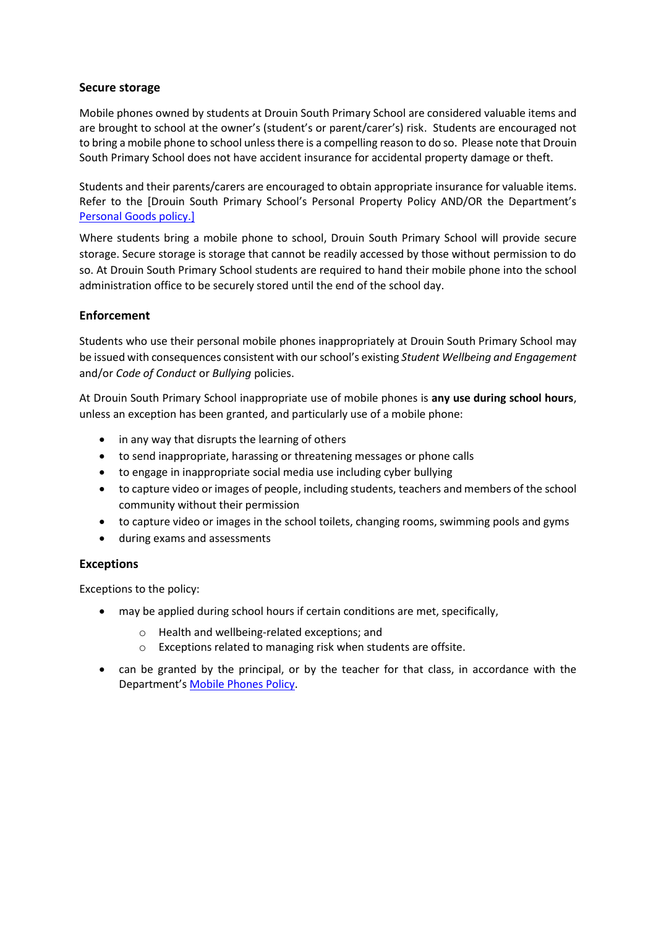### **Secure storage**

Mobile phones owned by students at Drouin South Primary School are considered valuable items and are brought to school at the owner's (student's or parent/carer's) risk. Students are encouraged not to bring a mobile phone to school unless there is a compelling reason to do so. Please note that Drouin South Primary School does not have accident insurance for accidental property damage or theft.

Students and their parents/carers are encouraged to obtain appropriate insurance for valuable items. Refer to the [Drouin South Primary School's Personal Property Policy AND/OR the Department's [Personal Goods](https://www.education.vic.gov.au/school/principals/spag/governance/pages/personalgoods.aspx) policy.]

Where students bring a mobile phone to school, Drouin South Primary School will provide secure storage. Secure storage is storage that cannot be readily accessed by those without permission to do so. At Drouin South Primary School students are required to hand their mobile phone into the school administration office to be securely stored until the end of the school day.

## **Enforcement**

Students who use their personal mobile phones inappropriately at Drouin South Primary School may be issued with consequences consistent with our school's existing *Student Wellbeing and Engagement* and/or *Code of Conduct* or *Bullying* policies.

At Drouin South Primary School inappropriate use of mobile phones is **any use during school hours**, unless an exception has been granted, and particularly use of a mobile phone:

- in any way that disrupts the learning of others
- to send inappropriate, harassing or threatening messages or phone calls
- to engage in inappropriate social media use including cyber bullying
- to capture video or images of people, including students, teachers and members of the school community without their permission
- to capture video or images in the school toilets, changing rooms, swimming pools and gyms
- during exams and assessments

#### **Exceptions**

Exceptions to the policy:

- may be applied during school hours if certain conditions are met, specifically,
	- o Health and wellbeing-related exceptions; and
	- o Exceptions related to managing risk when students are offsite.
- can be granted by the principal, or by the teacher for that class, in accordance with the Department's [Mobile Phones Policy.](https://www.education.vic.gov.au/school/principals/spag/safety/Pages/mobilephones.aspx)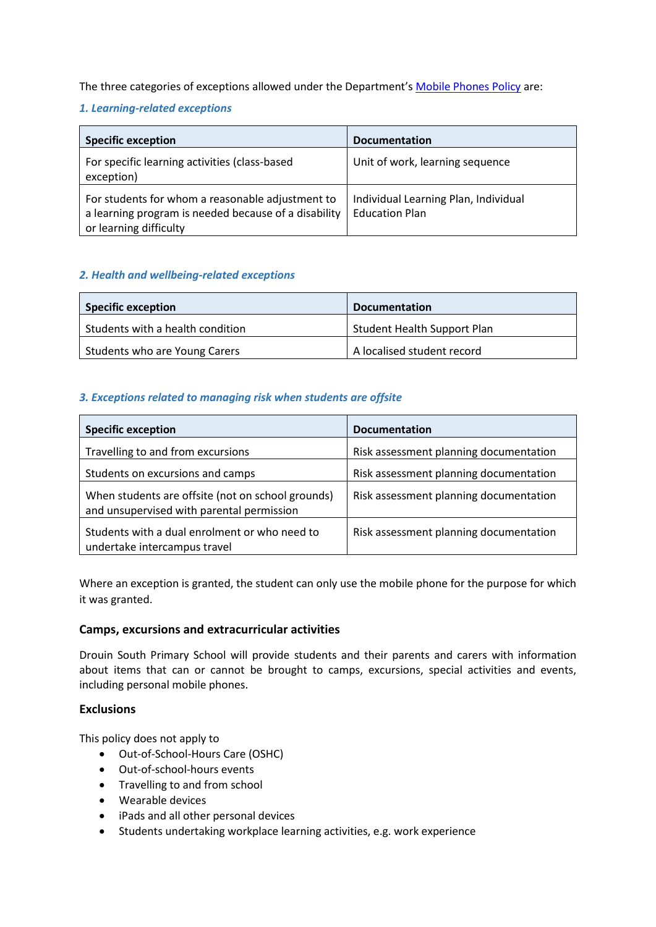The three categories of exceptions allowed under the Department's [Mobile Phones Policy](https://www.education.vic.gov.au/school/principals/spag/safety/Pages/mobilephones.aspx) are:

## *1. Learning-related exceptions*

| <b>Specific exception</b>                                                                                                          | <b>Documentation</b>                                          |
|------------------------------------------------------------------------------------------------------------------------------------|---------------------------------------------------------------|
| For specific learning activities (class-based<br>exception)                                                                        | Unit of work, learning sequence                               |
| For students for whom a reasonable adjustment to<br>a learning program is needed because of a disability<br>or learning difficulty | Individual Learning Plan, Individual<br><b>Education Plan</b> |

### *2. Health and wellbeing-related exceptions*

| <b>Specific exception</b>        | <b>Documentation</b>               |
|----------------------------------|------------------------------------|
| Students with a health condition | <b>Student Health Support Plan</b> |
| Students who are Young Carers    | A localised student record         |

### *3. Exceptions related to managing risk when students are offsite*

| <b>Specific exception</b>                                                                      | <b>Documentation</b>                   |
|------------------------------------------------------------------------------------------------|----------------------------------------|
| Travelling to and from excursions                                                              | Risk assessment planning documentation |
| Students on excursions and camps                                                               | Risk assessment planning documentation |
| When students are offsite (not on school grounds)<br>and unsupervised with parental permission | Risk assessment planning documentation |
| Students with a dual enrolment or who need to<br>undertake intercampus travel                  | Risk assessment planning documentation |

Where an exception is granted, the student can only use the mobile phone for the purpose for which it was granted.

#### **Camps, excursions and extracurricular activities**

Drouin South Primary School will provide students and their parents and carers with information about items that can or cannot be brought to camps, excursions, special activities and events, including personal mobile phones.

#### **Exclusions**

This policy does not apply to

- Out-of-School-Hours Care (OSHC)
- Out-of-school-hours events
- Travelling to and from school
- Wearable devices
- iPads and all other personal devices
- Students undertaking workplace learning activities, e.g. work experience